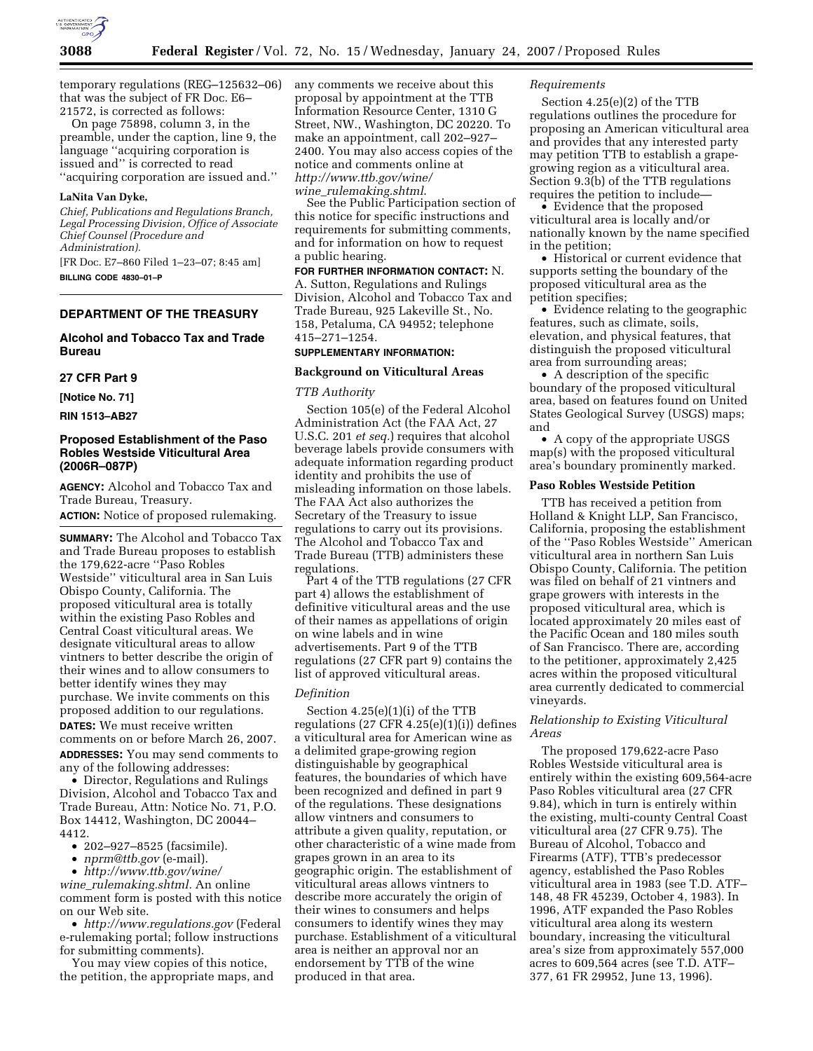

temporary regulations (REG–125632–06) that was the subject of FR Doc. E6– 21572, is corrected as follows:

On page 75898, column 3, in the preamble, under the caption, line 9, the language ''acquiring corporation is issued and'' is corrected to read ''acquiring corporation are issued and.''

### **LaNita Van Dyke,**

*Chief, Publications and Regulations Branch, Legal Processing Division, Office of Associate Chief Counsel (Procedure and Administration).* 

[FR Doc. E7–860 Filed 1–23–07; 8:45 am] **BILLING CODE 4830–01–P** 

### **DEPARTMENT OF THE TREASURY**

### **Alcohol and Tobacco Tax and Trade Bureau**

### **27 CFR Part 9**

**[Notice No. 71]** 

**RIN 1513–AB27** 

### **Proposed Establishment of the Paso Robles Westside Viticultural Area (2006R–087P)**

**AGENCY:** Alcohol and Tobacco Tax and Trade Bureau, Treasury.

**ACTION:** Notice of proposed rulemaking.

**SUMMARY:** The Alcohol and Tobacco Tax and Trade Bureau proposes to establish the 179,622-acre ''Paso Robles Westside'' viticultural area in San Luis Obispo County, California. The proposed viticultural area is totally within the existing Paso Robles and Central Coast viticultural areas. We designate viticultural areas to allow vintners to better describe the origin of their wines and to allow consumers to better identify wines they may purchase. We invite comments on this proposed addition to our regulations. **DATES:** We must receive written comments on or before March 26, 2007. **ADDRESSES:** You may send comments to any of the following addresses:

• Director, Regulations and Rulings Division, Alcohol and Tobacco Tax and Trade Bureau, Attn: Notice No. 71, P.O. Box 14412, Washington, DC 20044– 4412.

• 202–927–8525 (facsimile).

• *nprm@ttb.gov* (e-mail).

• *http://www.ttb.gov/wine/* 

*wine*\_*rulemaking.shtml.* An online comment form is posted with this notice on our Web site.

• *http://www.regulations.gov* (Federal e-rulemaking portal; follow instructions for submitting comments).

You may view copies of this notice, the petition, the appropriate maps, and any comments we receive about this proposal by appointment at the TTB Information Resource Center, 1310 G Street, NW., Washington, DC 20220. To make an appointment, call 202–927– 2400. You may also access copies of the notice and comments online at *http://www.ttb.gov/wine/ wine*\_*rulemaking.shtml*.

See the Public Participation section of this notice for specific instructions and requirements for submitting comments, and for information on how to request a public hearing.

**FOR FURTHER INFORMATION CONTACT:** N. A. Sutton, Regulations and Rulings Division, Alcohol and Tobacco Tax and Trade Bureau, 925 Lakeville St., No. 158, Petaluma, CA 94952; telephone 415–271–1254.

# **SUPPLEMENTARY INFORMATION:**

# **Background on Viticultural Areas**

### *TTB Authority*

Section 105(e) of the Federal Alcohol Administration Act (the FAA Act, 27 U.S.C. 201 *et seq.*) requires that alcohol beverage labels provide consumers with adequate information regarding product identity and prohibits the use of misleading information on those labels. The FAA Act also authorizes the Secretary of the Treasury to issue regulations to carry out its provisions. The Alcohol and Tobacco Tax and Trade Bureau (TTB) administers these regulations.

Part 4 of the TTB regulations (27 CFR part 4) allows the establishment of definitive viticultural areas and the use of their names as appellations of origin on wine labels and in wine advertisements. Part 9 of the TTB regulations (27 CFR part 9) contains the list of approved viticultural areas.

### *Definition*

Section 4.25(e)(1)(i) of the TTB regulations  $(27 \text{ CFR } 4.25(e)(1)(i))$  defines a viticultural area for American wine as a delimited grape-growing region distinguishable by geographical features, the boundaries of which have been recognized and defined in part 9 of the regulations. These designations allow vintners and consumers to attribute a given quality, reputation, or other characteristic of a wine made from grapes grown in an area to its geographic origin. The establishment of viticultural areas allows vintners to describe more accurately the origin of their wines to consumers and helps consumers to identify wines they may purchase. Establishment of a viticultural area is neither an approval nor an endorsement by TTB of the wine produced in that area.

### *Requirements*

Section 4.25(e)(2) of the TTB regulations outlines the procedure for proposing an American viticultural area and provides that any interested party may petition TTB to establish a grapegrowing region as a viticultural area. Section 9.3(b) of the TTB regulations requires the petition to include—

• Evidence that the proposed viticultural area is locally and/or nationally known by the name specified in the petition;

• Historical or current evidence that supports setting the boundary of the proposed viticultural area as the petition specifies;

• Evidence relating to the geographic features, such as climate, soils, elevation, and physical features, that distinguish the proposed viticultural area from surrounding areas;

• A description of the specific boundary of the proposed viticultural area, based on features found on United States Geological Survey (USGS) maps; and

• A copy of the appropriate USGS map(s) with the proposed viticultural area's boundary prominently marked.

### **Paso Robles Westside Petition**

TTB has received a petition from Holland & Knight LLP, San Francisco, California, proposing the establishment of the ''Paso Robles Westside'' American viticultural area in northern San Luis Obispo County, California. The petition was filed on behalf of 21 vintners and grape growers with interests in the proposed viticultural area, which is located approximately 20 miles east of the Pacific Ocean and 180 miles south of San Francisco. There are, according to the petitioner, approximately 2,425 acres within the proposed viticultural area currently dedicated to commercial vineyards.

### *Relationship to Existing Viticultural Areas*

The proposed 179,622-acre Paso Robles Westside viticultural area is entirely within the existing 609,564-acre Paso Robles viticultural area (27 CFR 9.84), which in turn is entirely within the existing, multi-county Central Coast viticultural area (27 CFR 9.75). The Bureau of Alcohol, Tobacco and Firearms (ATF), TTB's predecessor agency, established the Paso Robles viticultural area in 1983 (see T.D. ATF– 148, 48 FR 45239, October 4, 1983). In 1996, ATF expanded the Paso Robles viticultural area along its western boundary, increasing the viticultural area's size from approximately 557,000 acres to 609,564 acres (see T.D. ATF– 377, 61 FR 29952, June 13, 1996).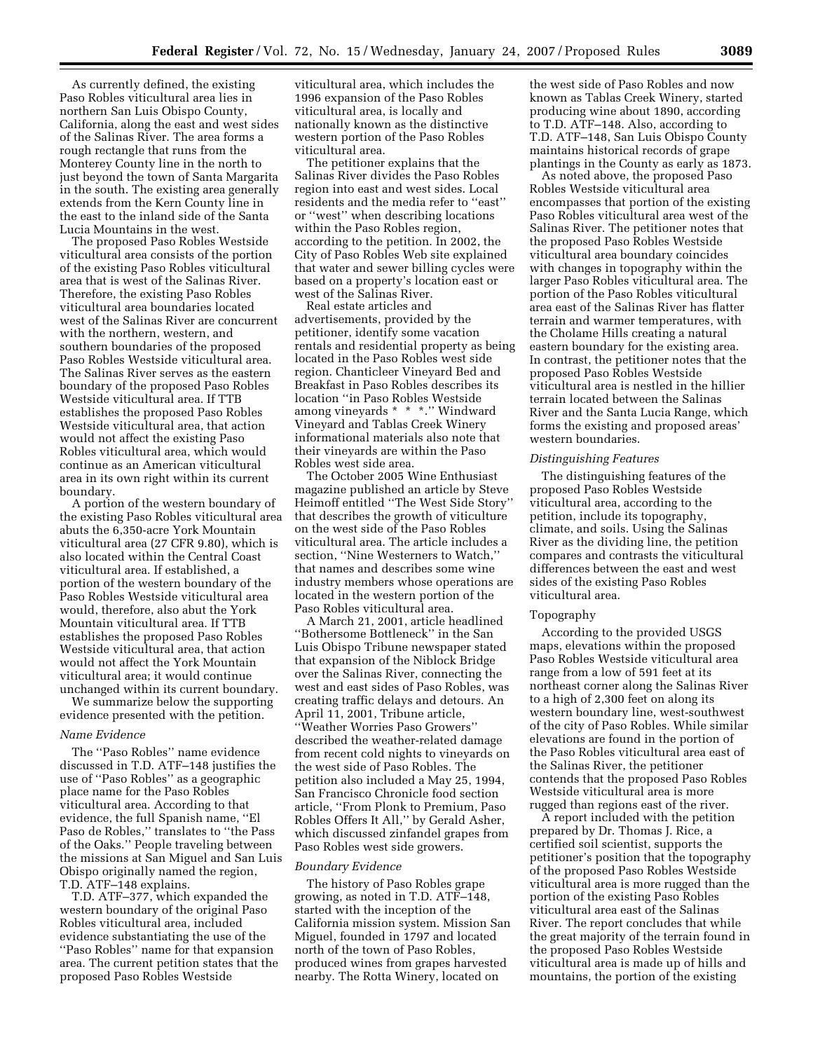As currently defined, the existing Paso Robles viticultural area lies in northern San Luis Obispo County, California, along the east and west sides of the Salinas River. The area forms a rough rectangle that runs from the Monterey County line in the north to just beyond the town of Santa Margarita in the south. The existing area generally extends from the Kern County line in the east to the inland side of the Santa Lucia Mountains in the west.

The proposed Paso Robles Westside viticultural area consists of the portion of the existing Paso Robles viticultural area that is west of the Salinas River. Therefore, the existing Paso Robles viticultural area boundaries located west of the Salinas River are concurrent with the northern, western, and southern boundaries of the proposed Paso Robles Westside viticultural area. The Salinas River serves as the eastern boundary of the proposed Paso Robles Westside viticultural area. If TTB establishes the proposed Paso Robles Westside viticultural area, that action would not affect the existing Paso Robles viticultural area, which would continue as an American viticultural area in its own right within its current boundary.

A portion of the western boundary of the existing Paso Robles viticultural area abuts the 6,350-acre York Mountain viticultural area (27 CFR 9.80), which is also located within the Central Coast viticultural area. If established, a portion of the western boundary of the Paso Robles Westside viticultural area would, therefore, also abut the York Mountain viticultural area. If TTB establishes the proposed Paso Robles Westside viticultural area, that action would not affect the York Mountain viticultural area; it would continue unchanged within its current boundary.

We summarize below the supporting evidence presented with the petition.

### *Name Evidence*

The ''Paso Robles'' name evidence discussed in T.D. ATF–148 justifies the use of ''Paso Robles'' as a geographic place name for the Paso Robles viticultural area. According to that evidence, the full Spanish name, ''El Paso de Robles,'' translates to ''the Pass of the Oaks.'' People traveling between the missions at San Miguel and San Luis Obispo originally named the region, T.D. ATF–148 explains.

T.D. ATF–377, which expanded the western boundary of the original Paso Robles viticultural area, included evidence substantiating the use of the ''Paso Robles'' name for that expansion area. The current petition states that the proposed Paso Robles Westside

viticultural area, which includes the 1996 expansion of the Paso Robles viticultural area, is locally and nationally known as the distinctive western portion of the Paso Robles viticultural area.

The petitioner explains that the Salinas River divides the Paso Robles region into east and west sides. Local residents and the media refer to ''east'' or ''west'' when describing locations within the Paso Robles region, according to the petition. In 2002, the City of Paso Robles Web site explained that water and sewer billing cycles were based on a property's location east or west of the Salinas River.

Real estate articles and advertisements, provided by the petitioner, identify some vacation rentals and residential property as being located in the Paso Robles west side region. Chanticleer Vineyard Bed and Breakfast in Paso Robles describes its location ''in Paso Robles Westside among vineyards \* \* \*.'' Windward Vineyard and Tablas Creek Winery informational materials also note that their vineyards are within the Paso Robles west side area.

The October 2005 Wine Enthusiast magazine published an article by Steve Heimoff entitled ''The West Side Story'' that describes the growth of viticulture on the west side of the Paso Robles viticultural area. The article includes a section, ''Nine Westerners to Watch,'' that names and describes some wine industry members whose operations are located in the western portion of the Paso Robles viticultural area.

A March 21, 2001, article headlined ''Bothersome Bottleneck'' in the San Luis Obispo Tribune newspaper stated that expansion of the Niblock Bridge over the Salinas River, connecting the west and east sides of Paso Robles, was creating traffic delays and detours. An April 11, 2001, Tribune article, ''Weather Worries Paso Growers'' described the weather-related damage from recent cold nights to vineyards on the west side of Paso Robles. The petition also included a May 25, 1994, San Francisco Chronicle food section article, ''From Plonk to Premium, Paso Robles Offers It All,'' by Gerald Asher, which discussed zinfandel grapes from Paso Robles west side growers.

### *Boundary Evidence*

The history of Paso Robles grape growing, as noted in T.D. ATF–148, started with the inception of the California mission system. Mission San Miguel, founded in 1797 and located north of the town of Paso Robles, produced wines from grapes harvested nearby. The Rotta Winery, located on

the west side of Paso Robles and now known as Tablas Creek Winery, started producing wine about 1890, according to T.D. ATF–148. Also, according to T.D. ATF–148, San Luis Obispo County maintains historical records of grape plantings in the County as early as 1873.

As noted above, the proposed Paso Robles Westside viticultural area encompasses that portion of the existing Paso Robles viticultural area west of the Salinas River. The petitioner notes that the proposed Paso Robles Westside viticultural area boundary coincides with changes in topography within the larger Paso Robles viticultural area. The portion of the Paso Robles viticultural area east of the Salinas River has flatter terrain and warmer temperatures, with the Cholame Hills creating a natural eastern boundary for the existing area. In contrast, the petitioner notes that the proposed Paso Robles Westside viticultural area is nestled in the hillier terrain located between the Salinas River and the Santa Lucia Range, which forms the existing and proposed areas' western boundaries.

### *Distinguishing Features*

The distinguishing features of the proposed Paso Robles Westside viticultural area, according to the petition, include its topography, climate, and soils. Using the Salinas River as the dividing line, the petition compares and contrasts the viticultural differences between the east and west sides of the existing Paso Robles viticultural area.

#### Topography

According to the provided USGS maps, elevations within the proposed Paso Robles Westside viticultural area range from a low of 591 feet at its northeast corner along the Salinas River to a high of 2,300 feet on along its western boundary line, west-southwest of the city of Paso Robles. While similar elevations are found in the portion of the Paso Robles viticultural area east of the Salinas River, the petitioner contends that the proposed Paso Robles Westside viticultural area is more rugged than regions east of the river.

A report included with the petition prepared by Dr. Thomas J. Rice, a certified soil scientist, supports the petitioner's position that the topography of the proposed Paso Robles Westside viticultural area is more rugged than the portion of the existing Paso Robles viticultural area east of the Salinas River. The report concludes that while the great majority of the terrain found in the proposed Paso Robles Westside viticultural area is made up of hills and mountains, the portion of the existing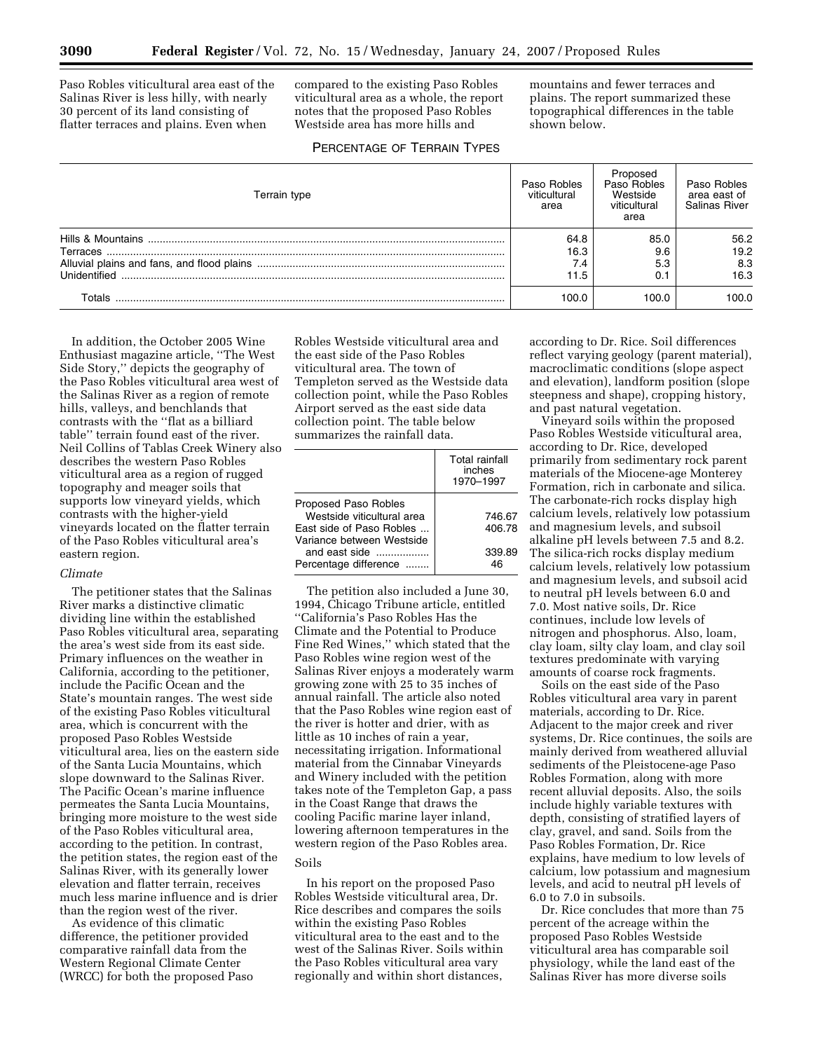Paso Robles viticultural area east of the Salinas River is less hilly, with nearly 30 percent of its land consisting of flatter terraces and plains. Even when

compared to the existing Paso Robles viticultural area as a whole, the report notes that the proposed Paso Robles Westside area has more hills and

mountains and fewer terraces and plains. The report summarized these topographical differences in the table shown below.

# PERCENTAGE OF TERRAIN TYPES

| Terrain type    | Paso Robles<br>viticultural<br>area | Proposed<br>Paso Robles<br>Westside<br>viticultural<br>area | Paso Robles<br>area east of<br>Salinas River |
|-----------------|-------------------------------------|-------------------------------------------------------------|----------------------------------------------|
|                 | 64.8                                | 85.0                                                        | 56.2                                         |
| <b>Terraces</b> | 16.3                                | 9.6                                                         | 19.2                                         |
|                 | 7.4                                 | 5.3                                                         | 8.3                                          |
| Unidentified    | 11.5                                | 0.1                                                         | 16.3                                         |
| Totals          | 100.0                               | 100.0                                                       | 100.0                                        |

In addition, the October 2005 Wine Enthusiast magazine article, ''The West Side Story,'' depicts the geography of the Paso Robles viticultural area west of the Salinas River as a region of remote hills, valleys, and benchlands that contrasts with the ''flat as a billiard table'' terrain found east of the river. Neil Collins of Tablas Creek Winery also describes the western Paso Robles viticultural area as a region of rugged topography and meager soils that supports low vineyard yields, which contrasts with the higher-yield vineyards located on the flatter terrain of the Paso Robles viticultural area's eastern region.

### *Climate*

The petitioner states that the Salinas River marks a distinctive climatic dividing line within the established Paso Robles viticultural area, separating the area's west side from its east side. Primary influences on the weather in California, according to the petitioner, include the Pacific Ocean and the State's mountain ranges. The west side of the existing Paso Robles viticultural area, which is concurrent with the proposed Paso Robles Westside viticultural area, lies on the eastern side of the Santa Lucia Mountains, which slope downward to the Salinas River. The Pacific Ocean's marine influence permeates the Santa Lucia Mountains, bringing more moisture to the west side of the Paso Robles viticultural area, according to the petition. In contrast, the petition states, the region east of the Salinas River, with its generally lower elevation and flatter terrain, receives much less marine influence and is drier than the region west of the river.

As evidence of this climatic difference, the petitioner provided comparative rainfall data from the Western Regional Climate Center (WRCC) for both the proposed Paso

Robles Westside viticultural area and the east side of the Paso Robles viticultural area. The town of Templeton served as the Westside data collection point, while the Paso Robles Airport served as the east side data collection point. The table below summarizes the rainfall data.

|                                                                                | Total rainfall<br>inches<br>1970-1997 |
|--------------------------------------------------------------------------------|---------------------------------------|
| Proposed Paso Robles<br>Westside viticultural area<br>East side of Paso Robles | 746.67<br>406.78                      |
| Variance between Westside<br>and east side<br>Percentage difference            | 339.89<br>46                          |

The petition also included a June 30, 1994, Chicago Tribune article, entitled ''California's Paso Robles Has the Climate and the Potential to Produce Fine Red Wines,'' which stated that the Paso Robles wine region west of the Salinas River enjoys a moderately warm growing zone with 25 to 35 inches of annual rainfall. The article also noted that the Paso Robles wine region east of the river is hotter and drier, with as little as 10 inches of rain a year, necessitating irrigation. Informational material from the Cinnabar Vineyards and Winery included with the petition takes note of the Templeton Gap, a pass in the Coast Range that draws the cooling Pacific marine layer inland, lowering afternoon temperatures in the western region of the Paso Robles area.

### Soils

In his report on the proposed Paso Robles Westside viticultural area, Dr. Rice describes and compares the soils within the existing Paso Robles viticultural area to the east and to the west of the Salinas River. Soils within the Paso Robles viticultural area vary regionally and within short distances,

according to Dr. Rice. Soil differences reflect varying geology (parent material), macroclimatic conditions (slope aspect and elevation), landform position (slope steepness and shape), cropping history, and past natural vegetation.

Vineyard soils within the proposed Paso Robles Westside viticultural area, according to Dr. Rice, developed primarily from sedimentary rock parent materials of the Miocene-age Monterey Formation, rich in carbonate and silica. The carbonate-rich rocks display high calcium levels, relatively low potassium and magnesium levels, and subsoil alkaline pH levels between 7.5 and 8.2. The silica-rich rocks display medium calcium levels, relatively low potassium and magnesium levels, and subsoil acid to neutral pH levels between 6.0 and 7.0. Most native soils, Dr. Rice continues, include low levels of nitrogen and phosphorus. Also, loam, clay loam, silty clay loam, and clay soil textures predominate with varying amounts of coarse rock fragments.

Soils on the east side of the Paso Robles viticultural area vary in parent materials, according to Dr. Rice. Adjacent to the major creek and river systems, Dr. Rice continues, the soils are mainly derived from weathered alluvial sediments of the Pleistocene-age Paso Robles Formation, along with more recent alluvial deposits. Also, the soils include highly variable textures with depth, consisting of stratified layers of clay, gravel, and sand. Soils from the Paso Robles Formation, Dr. Rice explains, have medium to low levels of calcium, low potassium and magnesium levels, and acid to neutral pH levels of 6.0 to 7.0 in subsoils.

Dr. Rice concludes that more than 75 percent of the acreage within the proposed Paso Robles Westside viticultural area has comparable soil physiology, while the land east of the Salinas River has more diverse soils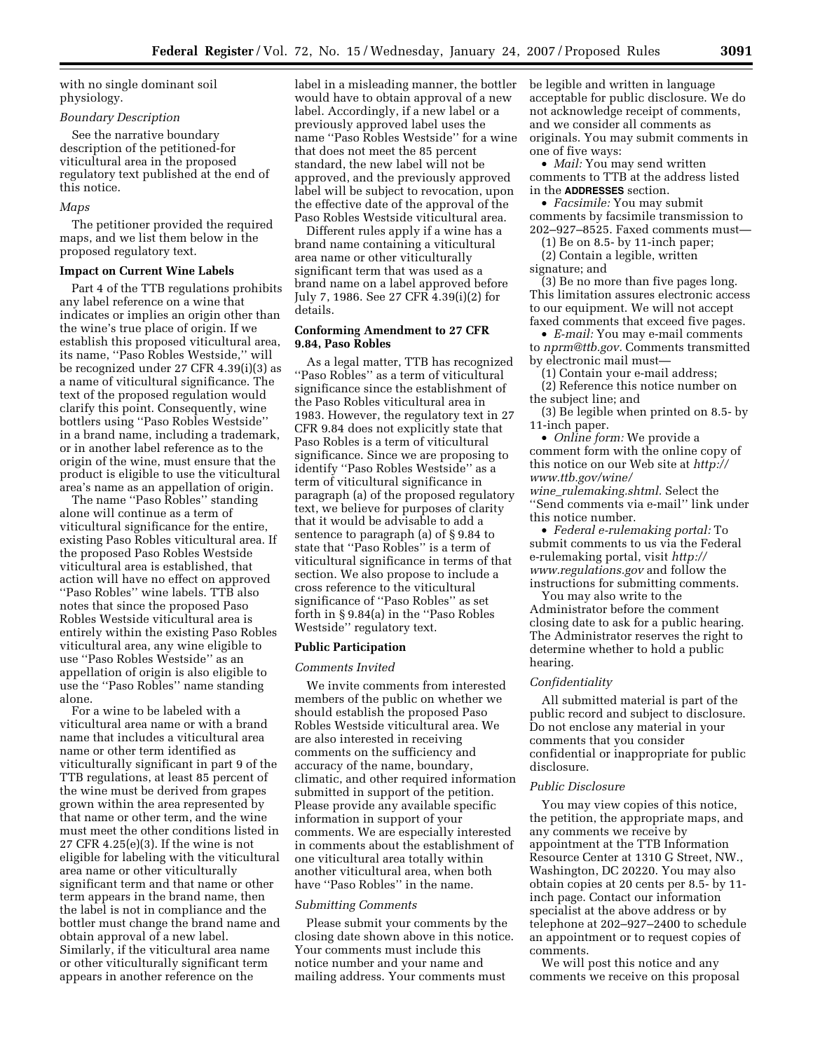with no single dominant soil physiology.

# *Boundary Description*

See the narrative boundary description of the petitioned-for viticultural area in the proposed regulatory text published at the end of this notice.

#### *Maps*

The petitioner provided the required maps, and we list them below in the proposed regulatory text.

#### **Impact on Current Wine Labels**

Part 4 of the TTB regulations prohibits any label reference on a wine that indicates or implies an origin other than the wine's true place of origin. If we establish this proposed viticultural area, its name, ''Paso Robles Westside,'' will be recognized under 27 CFR 4.39(i)(3) as a name of viticultural significance. The text of the proposed regulation would clarify this point. Consequently, wine bottlers using ''Paso Robles Westside'' in a brand name, including a trademark, or in another label reference as to the origin of the wine, must ensure that the product is eligible to use the viticultural area's name as an appellation of origin.

The name ''Paso Robles'' standing alone will continue as a term of viticultural significance for the entire, existing Paso Robles viticultural area. If the proposed Paso Robles Westside viticultural area is established, that action will have no effect on approved ''Paso Robles'' wine labels. TTB also notes that since the proposed Paso Robles Westside viticultural area is entirely within the existing Paso Robles viticultural area, any wine eligible to use ''Paso Robles Westside'' as an appellation of origin is also eligible to use the ''Paso Robles'' name standing alone.

For a wine to be labeled with a viticultural area name or with a brand name that includes a viticultural area name or other term identified as viticulturally significant in part 9 of the TTB regulations, at least 85 percent of the wine must be derived from grapes grown within the area represented by that name or other term, and the wine must meet the other conditions listed in 27 CFR 4.25(e)(3). If the wine is not eligible for labeling with the viticultural area name or other viticulturally significant term and that name or other term appears in the brand name, then the label is not in compliance and the bottler must change the brand name and obtain approval of a new label. Similarly, if the viticultural area name or other viticulturally significant term appears in another reference on the

label in a misleading manner, the bottler would have to obtain approval of a new label. Accordingly, if a new label or a previously approved label uses the name ''Paso Robles Westside'' for a wine that does not meet the 85 percent standard, the new label will not be approved, and the previously approved label will be subject to revocation, upon the effective date of the approval of the Paso Robles Westside viticultural area.

Different rules apply if a wine has a brand name containing a viticultural area name or other viticulturally significant term that was used as a brand name on a label approved before July 7, 1986. See 27 CFR 4.39(i)(2) for details.

### **Conforming Amendment to 27 CFR 9.84, Paso Robles**

As a legal matter, TTB has recognized ''Paso Robles'' as a term of viticultural significance since the establishment of the Paso Robles viticultural area in 1983. However, the regulatory text in 27 CFR 9.84 does not explicitly state that Paso Robles is a term of viticultural significance. Since we are proposing to identify ''Paso Robles Westside'' as a term of viticultural significance in paragraph (a) of the proposed regulatory text, we believe for purposes of clarity that it would be advisable to add a sentence to paragraph (a) of § 9.84 to state that ''Paso Robles'' is a term of viticultural significance in terms of that section. We also propose to include a cross reference to the viticultural significance of ''Paso Robles'' as set forth in § 9.84(a) in the ''Paso Robles Westside'' regulatory text.

### **Public Participation**

#### *Comments Invited*

We invite comments from interested members of the public on whether we should establish the proposed Paso Robles Westside viticultural area. We are also interested in receiving comments on the sufficiency and accuracy of the name, boundary, climatic, and other required information submitted in support of the petition. Please provide any available specific information in support of your comments. We are especially interested in comments about the establishment of one viticultural area totally within another viticultural area, when both have "Paso Robles" in the name.

#### *Submitting Comments*

Please submit your comments by the closing date shown above in this notice. Your comments must include this notice number and your name and mailing address. Your comments must

be legible and written in language acceptable for public disclosure. We do not acknowledge receipt of comments, and we consider all comments as originals. You may submit comments in one of five ways:

• *Mail:* You may send written comments to TTB at the address listed in the **ADDRESSES** section.

• *Facsimile:* You may submit comments by facsimile transmission to 202–927–8525. Faxed comments must—

(1) Be on 8.5- by 11-inch paper;

(2) Contain a legible, written

signature; and

(3) Be no more than five pages long. This limitation assures electronic access to our equipment. We will not accept faxed comments that exceed five pages.

• *E-mail:* You may e-mail comments to *nprm@ttb.gov.* Comments transmitted by electronic mail must—

(1) Contain your e-mail address;

(2) Reference this notice number on the subject line; and

(3) Be legible when printed on 8.5- by 11-inch paper.

• *Online form:* We provide a comment form with the online copy of this notice on our Web site at *http:// www.ttb.gov/wine/ wine*\_*rulemaking.shtml.* Select the

''Send comments via e-mail'' link under this notice number.

• *Federal e-rulemaking portal:* To submit comments to us via the Federal e-rulemaking portal, visit *http:// www.regulations.gov* and follow the instructions for submitting comments.

You may also write to the Administrator before the comment closing date to ask for a public hearing. The Administrator reserves the right to determine whether to hold a public hearing.

#### *Confidentiality*

All submitted material is part of the public record and subject to disclosure. Do not enclose any material in your comments that you consider confidential or inappropriate for public disclosure.

#### *Public Disclosure*

You may view copies of this notice, the petition, the appropriate maps, and any comments we receive by appointment at the TTB Information Resource Center at 1310 G Street, NW., Washington, DC 20220. You may also obtain copies at 20 cents per 8.5- by 11 inch page. Contact our information specialist at the above address or by telephone at 202–927–2400 to schedule an appointment or to request copies of comments.

We will post this notice and any comments we receive on this proposal